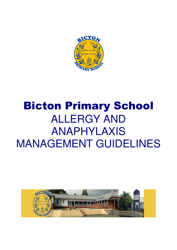

# Bicton Primary School ALLERGY AND ANAPHYLAXIS MANAGEMENT GUIDELINES

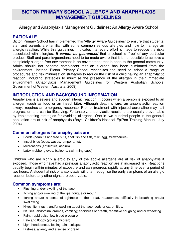# **BICTON PRIMARY SCHOOL ALLERGY AND ANAPHYLAXIS MANAGEMENT GUIDELINES**

Allergy and Anaphylaxis Management Guidelines: An Allergy Aware School

## **RATIONALE**

Bicton Primary School has implemented this 'Allergy Aware Guidelines' to ensure that students, staff and parents are familiar with some common serious allergies and how to manage an allergic reaction. While this guidelines indicates that every effort is made to reduce the risks associated with allergies, *it cannot be guaranteed* that a school is 'free' of any particular product. Staff and parents/guardians need to be made aware that it is not possible to achieve a completely allergen-free environment in an environment that is open to the general community. Adults should not become complacent that an allergen has been eliminated from the environment. Instead Bicton Primary School recognises the need to adopt a range of procedures and risk minimisation strategies to reduce the risk of a child having an anaphylactic reaction, including strategies to minimise the presence of the allergen in their immediate environment (Anaphylaxis Management Guidelines for Western Australian Schools, Government of Western Australia, 2009).

#### **INTRODUCTION AND BACKGROUND INFORMATION**

Anaphylaxis is a severe and sudden allergic reaction. It occurs when a person is exposed to an allergen (such as food or an insect bite). Although death is rare, an anaphylactic reaction always requires an emergency response. Prompt treatment with injected adrenaline may halt progression and can be lifesaving. Fortunately, anaphylactic reactions are usually preventable by implementing strategies for avoiding allergens. One in two hundred people in the general population are at risk of anaphylaxis (Royal Children's Hospital EpiPen Training Manual, July 2004).

#### **Common allergens for anaphylaxis are:**

- Foods (peanuts and tree nuts, shellfish and fish, milk, egg, strawberries).
- Insect bites (bees, wasps, jumper ants).
- Medications (antibiotics, aspirin).
- Latex (rubber gloves, balloons, swimming caps).

Children who are highly allergic to any of the above allergens are at risk of anaphylaxis if exposed. Those who have had a previous anaphylactic reaction are at increased risk. Reactions usually begin within minutes of exposure and can progress rapidly at any time over a period of two hours. A student at risk of anaphylaxis will often recognise the early symptoms of an allergic reaction before any other signs are observable.

#### **Common symptoms are:**

- Flushing and/or swelling of the face.
- Itching and/or swelling of the lips, tongue or mouth.
- Itching and/or a sense of tightness in the throat, hoarseness, difficulty in breathing and/or swallowing.
- Hives, itchy rash, and/or swelling about the face, body or extremities.
- Nausea, abdominal cramps, vomiting; shortness of breath, repetitive coughing and/or wheezing.
- Faint, rapid pulse, low blood pressure.
- Pale and floppy (young children).
- Light headedness, feeling faint, collapse.
- Distress, anxiety and a sense of dread.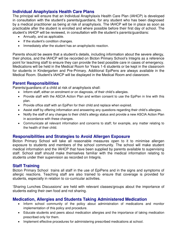# **Individual Anaphylaxis Health Care Plans**

The principal will ensure that an Individual Anaphylaxis Health Care Plan (IAHCP) is developed in consultation with the student's parents/guardians, for any student who has been diagnosed by a medical practitioner as being at risk of anaphylaxis. The IAHCP will be in place as soon as practicable after the student is enrolled and where possible before their first day of school. The student's IAHCP will be reviewed, in consultation with the student's parents/guardians:

- Annually, and as applicable.
- If the student's condition changes.
- Immediately after the student has an anaphylactic reaction.

Parents should be aware that a student's details, including information about the severe allergy, their photos, and the IAHCP will be recorded on Bicton Primary School's Integris as a reference point for teaching staff to ensure they can provide the best possible care in cases of emergency. Medications will be held in the Medical Room for Years 1-6 students or be kept in the classroom for students in Kindergarten and Pre-Primary. Additional EpiPens are always available in the Medical Room. Student's IAHCP will be displayed in the Medical Room and classroom.

#### **Parent Responsibilities**

Parents/guardians of a child at risk of anaphylaxis shall:

- Inform staff, either on enrolment or on diagnosis, of their child's allergies.
- Provide staff with the ASCIA Action Plan and written consent to use the EpiPen in line with this plan.
- Provide office staff with an EpiPen for their child and replace when expired.
- Assist staff by offering information and answering any questions regarding their child's allergies.
- Notify the staff of any changes to their child's allergy status and provide a new ASCIA Action Plan in accordance with these changes.
- Communicate all relevant information and concerns to staff; for example, any matter relating to the health of their child.

# **Responsibilities and Strategies to Avoid Allergen Exposure**

Bicton Primary School will take all reasonable measures open to it to minimise allergen exposure to students and members of the school community. The school will make student medical information and the IAHCP that have been supplied by parents available to supervising staff. School staff should make themselves familiar with the medical information relating to students under their supervision as recorded on Integris.

#### **Staff Training**

Bicton Primary School trains all staff in the use of EpiPens and in the signs and symptoms of allergic reactions. Teaching staff are also trained to ensure that coverage is provided for students, especially in relation to co-curricular activities.

'Sharing Lunches Discussions' are held with relevant classes/groups about the importance of students eating their own food and not sharing.

# **Medication, Allergies and Students Taking Administered Medication**

- Inform school community of the policy about administration of medications and monitor implementation of this policy and procedure.
- Educate students and peers about medication allergies and the importance of taking medication prescribed only for them.
- Implement effective procedures for administering prescribed medications at school.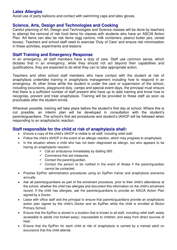#### **Latex Allergies**

Avoid use of party balloons and contact with swimming caps and latex gloves.

#### **Science, Arts, Design and Technologies and Cooking**

Careful planning of Art, Design and Technologies and Science classes will be done by teachers to attempt the removal of risk food items for classes with students who have an ASCIA Action Plan. Art items can also be risk items (egg cartons, milk containers, peanut butter jars, cereal boxes). Teachers and school staff need to exercise 'Duty of Care' and ensure risk minimization in these activities, experiments and lessons.

#### **Staff Training and Emergency Response**

In an emergency, all staff members have a duty of care. Staff use common sense, which dictates that in an emergency, while they should not act beyond their capabilities and qualifications, they are expected to do what they can to take appropriate action.

Teachers and other school staff members who have contact with the student at risk of anaphylaxis undertake training in anaphylaxis management including how to respond in an emergency. At other times while the student is under the care or supervision of the school, including excursions, playground duty, camps and special event days, the principal must ensure that there is a sufficient number of staff present who have up to date training and know how to recognise, prevent and treat anaphylaxis. Training will be provided to these staff as soon as practicable after the student enrols.

Wherever possible, training will take place before the student's first day at school. Where this is not possible, an interim plan will be developed in consultation with the student's parents/guardians. The school's first aid procedures and student's IAHCP will be followed when responding to an anaphylactic reaction.

#### **Staff responsible for the child at risk of anaphylaxis shall:**

- Ensure a copy of the child's IAHCP is visible to all staff, including relief staff.
- Follow the child's IAHCP in the event of an allergic reaction, which may progress to anaphylaxis
- In the situation where a child who has not been diagnosed as allergic, but who appears to be having an anaphylactic reaction:
	- $\checkmark$  Call an ambulance immediately by dialling 000.
	- $\checkmark$  Commence first aid measures.
	- $\checkmark$  Contact the parent/guardian.
	- $\checkmark$  Contact the person to be notified in the event of illness if the parent/quardian cannot be contacted.
- Practise EpiPen administration procedures using an EpiPen trainer and anaphylaxis scenarios annually
- Ask all parents/guardians as part of the enrolment procedure, prior to their child's attendance at the school, whether the child has allergies and document this information on the child's enrolment record. If the child has allergies, ask the parents/guardians to provide an ASCIA Action Plan signed by a Doctor.
- Liaise with office staff and the principal to ensure that parents/guardians provide an anaphylaxis action plan signed by the child's Doctor and an EpiPen while the child is enrolled at Bicton Primary School.
- Ensure that the EpiPen is stored in a location that is known to all staff, including relief staff; easily accessible to adults (not locked away); inaccessible to children; and away from direct sources of heat.
- Ensure that the EpiPen for each child at risk of anaphylaxis is carried by a trained adult on excursions that this child attends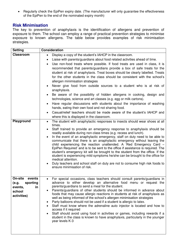• Regularly check the EpiPen expiry date. (The manufacturer will only guarantee the effectiveness of the EpiPen to the end of the nominated expiry month)

## **Risk Minimisation**

The key to prevention of anaphylaxis is the identification of allergens and prevention of exposure to them. The school can employ a range of practical prevention strategies to minimise exposure to known allergens. The table below provides examples of risk minimisation strategies.

| <b>Setting</b>    | <b>Consideration</b>                                                                                                                                                |
|-------------------|---------------------------------------------------------------------------------------------------------------------------------------------------------------------|
| <b>Classroom</b>  | Display a copy of the student's IAHCP in the classroom.<br>$\bullet$                                                                                                |
|                   | Liaise with parents/guardians about food related activities ahead of time.<br>$\bullet$                                                                             |
|                   | Use non-food treats where possible. If food treats are used in class, it is<br>$\bullet$                                                                            |
|                   | recommended that parents/guardians provide a box of safe treats for the                                                                                             |
|                   | student at risk of anaphylaxis. Treat boxes should be clearly labelled. Treats                                                                                      |
|                   | for the other students in the class should be consistent with the school's                                                                                          |
|                   | allergen minimisation strategies                                                                                                                                    |
|                   | Never give food from outside sources to a student who is at risk of                                                                                                 |
|                   | anaphylaxis.                                                                                                                                                        |
|                   | Be aware of the possibility of hidden allergens in cooking, design and                                                                                              |
|                   | technologies, science and art classes (e.g. egg or milk cartons).                                                                                                   |
|                   | Have regular discussions with students about the importance of washing<br>$\bullet$<br>hands, eating their own food and not sharing food.                           |
|                   | Casual/relief teachers should be made aware of the student's IAHCP and<br>$\bullet$                                                                                 |
|                   | where this is displayed in the classroom.                                                                                                                           |
| Playground        | The student with anaphylactic responses to insects should wear shoes at all<br>$\bullet$                                                                            |
|                   | times.                                                                                                                                                              |
|                   | Staff trained to provide an emergency response to anaphylaxis should be                                                                                             |
|                   | readily available during non-class times (e.g. recess and lunch).                                                                                                   |
|                   | In the event of an anaphylactic emergency, staff on duty need to be able to<br>$\bullet$<br>communicate that there is an anaphylactic emergency without leaving the |
|                   | child experiencing the reaction unattended. A 'Red Emergency Card -                                                                                                 |
|                   | EpiPen Required' and is to be sent to the office if assistance is required. The                                                                                     |
|                   | student's emergency kit will be brought to the student from the office. If the                                                                                      |
|                   | student is experiencing mild symptoms he/she can be brought to the office for<br>medical attention.                                                                 |
|                   | Duty teachers and school staff on duty are not to consume high risk foods to                                                                                        |
|                   | ensure minimisation of risk.                                                                                                                                        |
|                   |                                                                                                                                                                     |
| On-site<br>events | For special occasions, class teachers should consult parents/guardians in<br>$\bullet$                                                                              |
| (e.g.<br>sporting | advance to either develop an alternative food menu or request the                                                                                                   |
| events,<br>in     | parents/guardians to send a meal for the student.                                                                                                                   |
| school            | Parents/quardians of other students should be informed in advance about<br>$\bullet$                                                                                |
| activities)       | foods that may cause allergic reactions in students at risk of anaphylaxis as<br>well as being informed of the school's allergen minimisation strategies            |
|                   | Party balloons should not be used if a student is allergic to latex.<br>٠                                                                                           |
|                   | Staff must know where the adrenaline auto injector is located and how to<br>$\bullet$                                                                               |
|                   | access if it required                                                                                                                                               |
|                   | Staff should avoid using food in activities or games, including rewards if a<br>$\bullet$                                                                           |
|                   | student in the class is known to have anaphylaxis, particularly in the younger<br>year levels K-3                                                                   |
|                   |                                                                                                                                                                     |
|                   |                                                                                                                                                                     |
|                   |                                                                                                                                                                     |